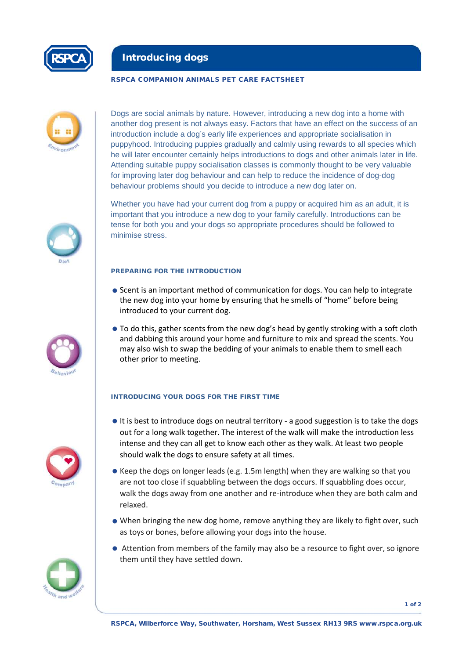

# Introducing dogs

# RSPCA COMPANION ANIMALS PET CARE FACTSHEET



Dogs are social animals by nature. However, introducing a new dog into a home with another dog present is not always easy. Factors that have an effect on the success of an introduction include a dog's early life experiences and appropriate socialisation in puppyhood. Introducing puppies gradually and calmly using rewards to all species which he will later encounter certainly helps introductions to dogs and other animals later in life. Attending suitable puppy socialisation classes is commonly thought to be very valuable for improving later dog behaviour and can help to reduce the incidence of dog-dog behaviour problems should you decide to introduce a new dog later on.

Whether you have had your current dog from a puppy or acquired him as an adult, it is important that you introduce a new dog to your family carefully. Introductions can be tense for both you and your dogs so appropriate procedures should be followed to minimise stress.

# PREPARING FOR THE INTRODUCTION

- Scent is an important method of communication for dogs. You can help to integrate the new dog into your home by ensuring that he smells of "home" before being introduced to your current dog.
- To do this, gather scents from the new dog's head by gently stroking with a soft cloth and dabbing this around your home and furniture to mix and spread the scents. You may also wish to swap the bedding of your animals to enable them to smell each other prior to meeting.

#### INTRODUCING YOUR DOGS FOR THE FIRST TIME

- It is best to introduce dogs on neutral territory a good suggestion is to take the dogs out for a long walk together. The interest of the walk will make the introduction less intense and they can all get to know each other as they walk. At least two people should walk the dogs to ensure safety at all times.
- Keep the dogs on longer leads (e.g. 1.5m length) when they are walking so that you are not too close if squabbling between the dogs occurs. If squabbling does occur, walk the dogs away from one another and re-introduce when they are both calm and relaxed.
- When bringing the new dog home, remove anything they are likely to fight over, such as toys or bones, before allowing your dogs into the house.
- Attention from members of the family may also be a resource to fight over, so ignore them until they have settled down.









1 of 2